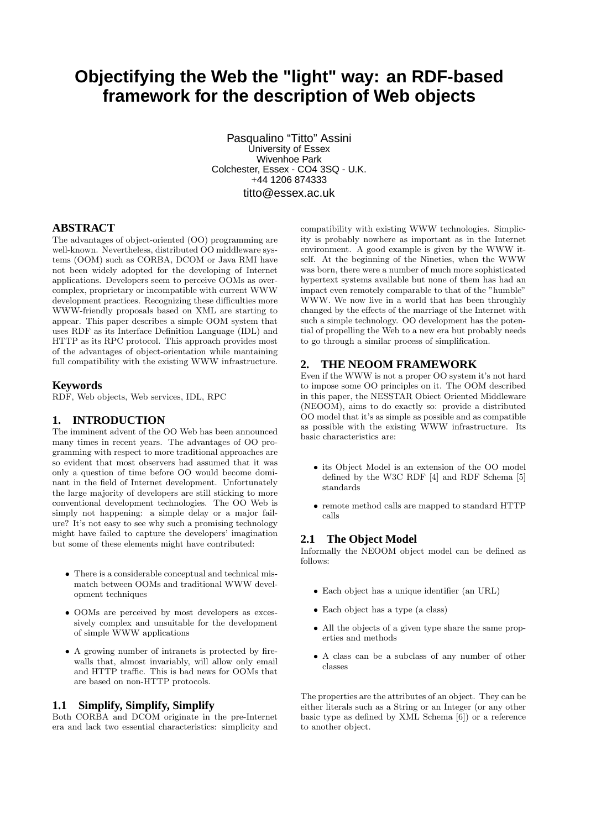# **Objectifying the Web the "light" way: an RDF-based framework for the description of Web objects**

Pasqualino "Titto" Assini University of Essex Wivenhoe Park Colchester, Essex - CO4 3SQ - U.K. +44 1206 874333 titto@essex.ac.uk

## **ABSTRACT**

The advantages of object-oriented (OO) programming are well-known. Nevertheless, distributed OO middleware systems (OOM) such as CORBA, DCOM or Java RMI have not been widely adopted for the developing of Internet applications. Developers seem to perceive OOMs as overcomplex, proprietary or incompatible with current WWW development practices. Recognizing these difficulties more WWW-friendly proposals based on XML are starting to appear. This paper describes a simple OOM system that uses RDF as its Interface Definition Language (IDL) and HTTP as its RPC protocol. This approach provides most of the advantages of object-orientation while mantaining full compatibility with the existing WWW infrastructure.

#### **Keywords**

RDF, Web objects, Web services, IDL, RPC

#### **1. INTRODUCTION**

The imminent advent of the OO Web has been announced many times in recent years. The advantages of OO programming with respect to more traditional approaches are so evident that most observers had assumed that it was only a question of time before OO would become dominant in the field of Internet development. Unfortunately the large majority of developers are still sticking to more conventional development technologies. The OO Web is simply not happening: a simple delay or a major failure? It's not easy to see why such a promising technology might have failed to capture the developers' imagination but some of these elements might have contributed:

- There is a considerable conceptual and technical mismatch between OOMs and traditional WWW development techniques
- OOMs are perceived by most developers as excessively complex and unsuitable for the development of simple WWW applications
- A growing number of intranets is protected by firewalls that, almost invariably, will allow only email and HTTP traffic. This is bad news for OOMs that are based on non-HTTP protocols.

#### **1.1 Simplify, Simplify, Simplify**

Both CORBA and DCOM originate in the pre-Internet era and lack two essential characteristics: simplicity and compatibility with existing WWW technologies. Simplicity is probably nowhere as important as in the Internet environment. A good example is given by the WWW itself. At the beginning of the Nineties, when the WWW was born, there were a number of much more sophisticated hypertext systems available but none of them has had an impact even remotely comparable to that of the "humble" WWW. We now live in a world that has been throughly changed by the effects of the marriage of the Internet with such a simple technology. OO development has the potential of propelling the Web to a new era but probably needs to go through a similar process of simplification.

#### **2. THE NEOOM FRAMEWORK**

Even if the WWW is not a proper OO system it's not hard to impose some OO principles on it. The OOM described in this paper, the NESSTAR Obiect Oriented Middleware (NEOOM), aims to do exactly so: provide a distributed OO model that it's as simple as possible and as compatible as possible with the existing WWW infrastructure. Its basic characteristics are:

- its Object Model is an extension of the OO model defined by the W3C RDF [4] and RDF Schema [5] standards
- remote method calls are mapped to standard HTTP calls

#### **2.1 The Object Model**

Informally the NEOOM object model can be defined as follows:

- Each object has a unique identifier (an URL)
- Each object has a type (a class)
- All the objects of a given type share the same properties and methods
- A class can be a subclass of any number of other classes

The properties are the attributes of an object. They can be either literals such as a String or an Integer (or any other basic type as defined by XML Schema [6]) or a reference to another object.